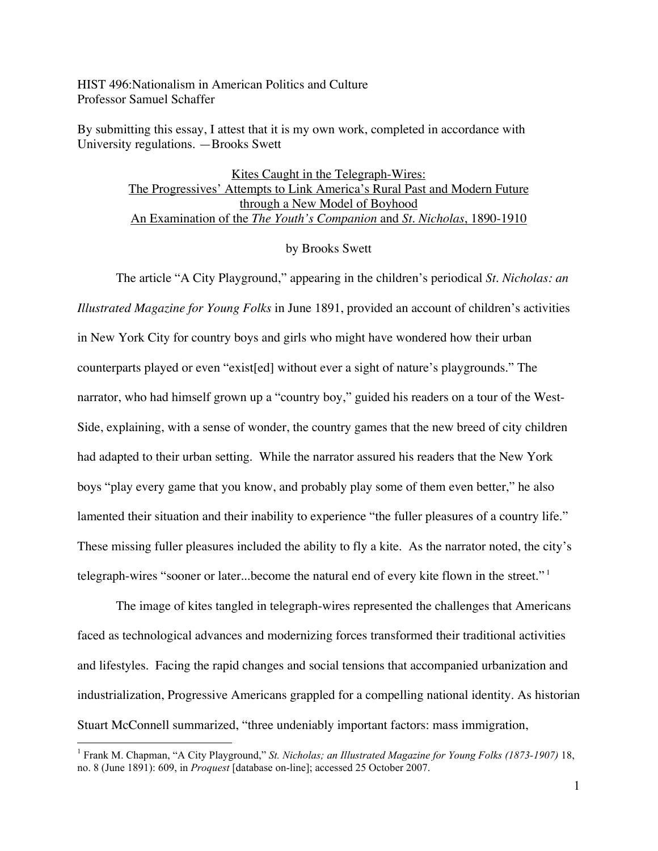HIST 496:Nationalism in American Politics and Culture Professor Samuel Schaffer

By submitting this essay, I attest that it is my own work, completed in accordance with University regulations. —Brooks Swett

> Kites Caught in the Telegraph-Wires: The Progressives' Attempts to Link America's Rural Past and Modern Future through a New Model of Boyhood An Examination of the *The Youth's Companion* and *St. Nicholas*, 1890-1910

### by Brooks Swett

The article "A City Playground," appearing in the children's periodical *St. Nicholas: an Illustrated Magazine for Young Folks* in June 1891, provided an account of children's activities in New York City for country boys and girls who might have wondered how their urban counterparts played or even "exist[ed] without ever a sight of nature's playgrounds." The narrator, who had himself grown up a "country boy," guided his readers on a tour of the West-Side, explaining, with a sense of wonder, the country games that the new breed of city children had adapted to their urban setting. While the narrator assured his readers that the New York boys "play every game that you know, and probably play some of them even better," he also lamented their situation and their inability to experience "the fuller pleasures of a country life." These missing fuller pleasures included the ability to fly a kite. As the narrator noted, the city's telegraph-wires "sooner or later...become the natural end of every kite flown in the street."<sup>1</sup>

The image of kites tangled in telegraph-wires represented the challenges that Americans faced as technological advances and modernizing forces transformed their traditional activities and lifestyles. Facing the rapid changes and social tensions that accompanied urbanization and industrialization, Progressive Americans grappled for a compelling national identity. As historian Stuart McConnell summarized, "three undeniably important factors: mass immigration,

 <sup>1</sup> Frank M. Chapman, "A City Playground," *St. Nicholas; an Illustrated Magazine for Young Folks (1873-1907)* 18, no. 8 (June 1891): 609, in *Proquest* [database on-line]; accessed 25 October 2007.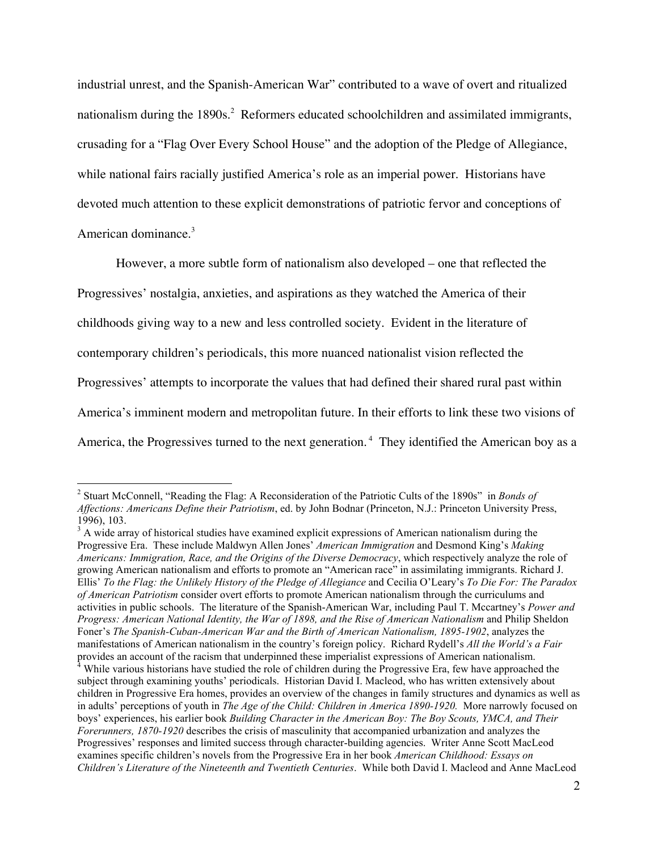industrial unrest, and the Spanish-American War" contributed to a wave of overt and ritualized nationalism during the 1890s.<sup>2</sup> Reformers educated schoolchildren and assimilated immigrants, crusading for a "Flag Over Every School House" and the adoption of the Pledge of Allegiance, while national fairs racially justified America's role as an imperial power. Historians have devoted much attention to these explicit demonstrations of patriotic fervor and conceptions of American dominance.<sup>3</sup>

However, a more subtle form of nationalism also developed – one that reflected the Progressives' nostalgia, anxieties, and aspirations as they watched the America of their childhoods giving way to a new and less controlled society. Evident in the literature of contemporary children's periodicals, this more nuanced nationalist vision reflected the Progressives' attempts to incorporate the values that had defined their shared rural past within America's imminent modern and metropolitan future. In their efforts to link these two visions of America, the Progressives turned to the next generation.<sup>4</sup> They identified the American boy as a

 <sup>2</sup> Stuart McConnell, "Reading the Flag: <sup>A</sup> Reconsideration of the Patriotic Cults of the 1890s" in *Bonds of Affections: Americans Define their Patriotism*, ed. by John Bodnar (Princeton, N.J.: Princeton University Press, 1996), 103.<br> $3$  A wide array of historical studies have examined explicit expressions of American nationalism during the

Progressive Era. These include Maldwyn Allen Jones' *American Immigration* and Desmond King's *Making Americans: Immigration, Race, and the Origins of the Diverse Democracy*, which respectively analyze the role of growing American nationalism and efforts to promote an "American race" in assimilating immigrants. Richard J. Ellis' To the Flag: the Unlikely History of the Pledge of Allegiance and Cecilia O'Leary's To Die For: The Paradox *of American Patriotism* consider overt efforts to promote American nationalism through the curriculums and activities in public schools. The literature of the Spanish-American War, including Paul T. Mccartney's *Power and Progress: American National Identity, the War of 1898, and the Rise of American Nationalism* and Philip Sheldon Foner's *The Spanish-Cuban-American War and the Birth of American Nationalism, 1895-1902*, analyzes the manifestations of American nationalism in the country's foreign policy. Richard Rydell's *All the World's a Fair* provides an account of the racism that underpinned these imperialist expressions of American nationalism. While various historians have studied the role of children during the Progressive Era, few have approached the subject through examining youths' periodicals. Historian David I. Macleod, who has written extensively about children in Progressive Era homes, provides an overview of the changes in family structures and dynamics as well as in adults' perceptions of youth in *The Age of the Child: Children in America 1890-1920.* More narrowly focused on boys' experiences, his earlier book *Building Character in the American Boy: The Boy Scouts, YMCA, and Their Forerunners, 1870-1920* describes the crisis of masculinity that accompanied urbanization and analyzes the Progressives' responses and limited success through character-building agencies. Writer Anne Scott MacLeod examines specific children's novels from the Progressive Era in her book *American Childhood: Essays on Children's Literature of the Nineteenth and Twentieth Centuries*. While both David I. Macleod and Anne MacLeod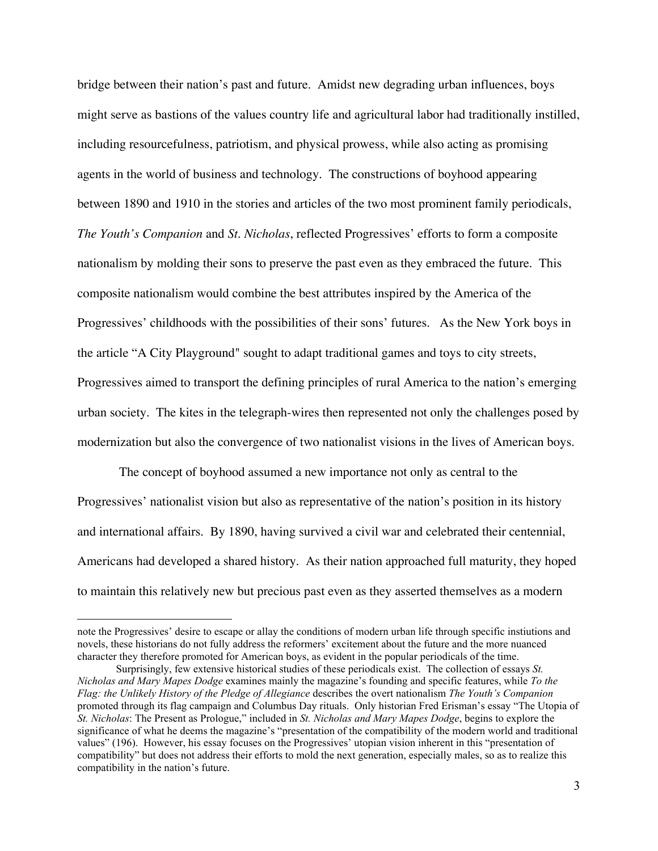bridge between their nation's past and future. Amidst new degrading urban influences, boys might serve as bastions of the values country life and agricultural labor had traditionally instilled, including resourcefulness, patriotism, and physical prowess, while also acting as promising agents in the world of business and technology. The constructions of boyhood appearing between 1890 and 1910 in the stories and articles of the two most prominent family periodicals, *The Youth's Companion* and *St. Nicholas*, reflected Progressives' efforts to form a composite nationalism by molding their sons to preserve the past even as they embraced the future. This composite nationalism would combine the best attributes inspired by the America of the Progressives' childhoods with the possibilities of their sons' futures. As the New York boys in the article "A City Playground" sought to adapt traditional games and toys to city streets, Progressives aimed to transport the defining principles of rural America to the nation's emerging urban society. The kites in the telegraph-wires then represented not only the challenges posed by modernization but also the convergence of two nationalist visions in the lives of American boys.

 The concept of boyhood assumed a new importance not only as central to the Progressives' nationalist vision but also as representative of the nation's position in its history and international affairs. By 1890, having survived a civil war and celebrated their centennial, Americans had developed a shared history. As their nation approached full maturity, they hoped to maintain this relatively new but precious past even as they asserted themselves as a modern

 $\overline{a}$ 

note the Progressives' desire to escape or allay the conditions of modern urban life through specific instiutions and novels, these historians do not fully address the reformers' excitement about the future and the more nuanced character they therefore promoted for American boys, as evident in the popular periodicals of the time.

Surprisingly, few extensive historical studies of these periodicals exist. The collection of essays *St. Nicholas and Mary Mapes Dodge* examines mainly the magazine's founding and specific features, while *To the Flag: the Unlikely History of the Pledge of Allegiance* describes the overt nationalism *The Youth's Companion* promoted through its flag campaign and Columbus Day rituals. Only historian Fred Erisman's essay "The Utopia of *St. Nicholas*: The Present as Prologue," included in *St. Nicholas and Mary Mapes Dodge*, begins to explore the significance of what he deems the magazine's "presentation of the compatibility of the modern world and traditional values" (196). However, his essay focuses on the Progressives' utopian vision inherent in this "presentation of compatibility" but does not address their efforts to mold the next generation, especially males, so as to realize this compatibility in the nation's future.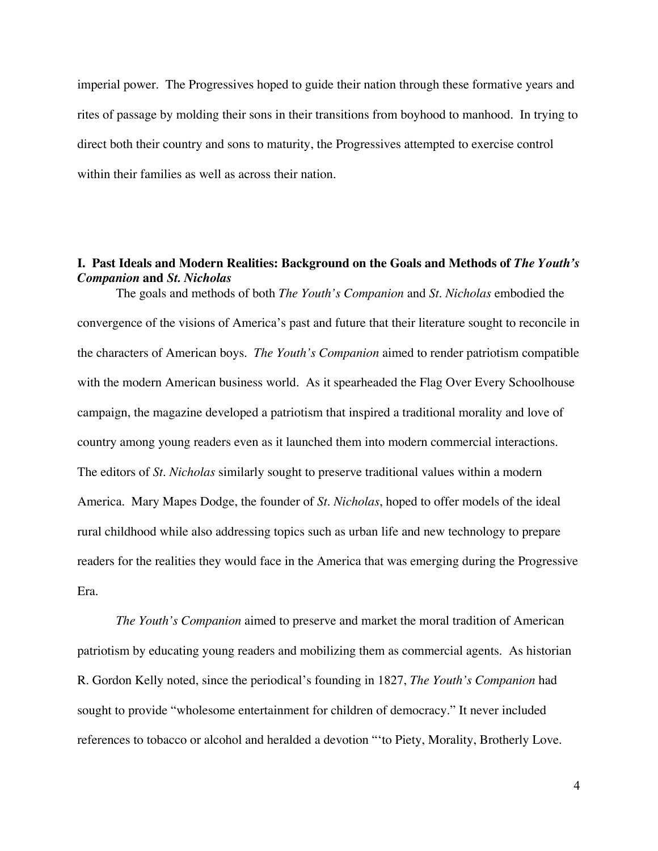imperial power. The Progressives hoped to guide their nation through these formative years and rites of passage by molding their sons in their transitions from boyhood to manhood. In trying to direct both their country and sons to maturity, the Progressives attempted to exercise control within their families as well as across their nation.

# **I. Past Ideals and Modern Realities: Background on the Goals and Methods of** *The Youth's Companion* **and** *St. Nicholas*

The goals and methods of both *The Youth's Companion* and *St. Nicholas* embodied the convergence of the visions of America's past and future that their literature sought to reconcile in the characters of American boys. *The Youth's Companion* aimed to render patriotism compatible with the modern American business world. As it spearheaded the Flag Over Every Schoolhouse campaign, the magazine developed a patriotism that inspired a traditional morality and love of country among young readers even as it launched them into modern commercial interactions. The editors of *St. Nicholas* similarly sought to preserve traditional values within a modern America. Mary Mapes Dodge, the founder of *St. Nicholas*, hoped to offer models of the ideal rural childhood while also addressing topics such as urban life and new technology to prepare readers for the realities they would face in the America that was emerging during the Progressive Era.

*The Youth's Companion* aimed to preserve and market the moral tradition of American patriotism by educating young readers and mobilizing them as commercial agents. As historian R. Gordon Kelly noted, since the periodical's founding in 1827, *The Youth's Companion* had sought to provide "wholesome entertainment for children of democracy." It never included references to tobacco or alcohol and heralded a devotion "'to Piety, Morality, Brotherly Love.

4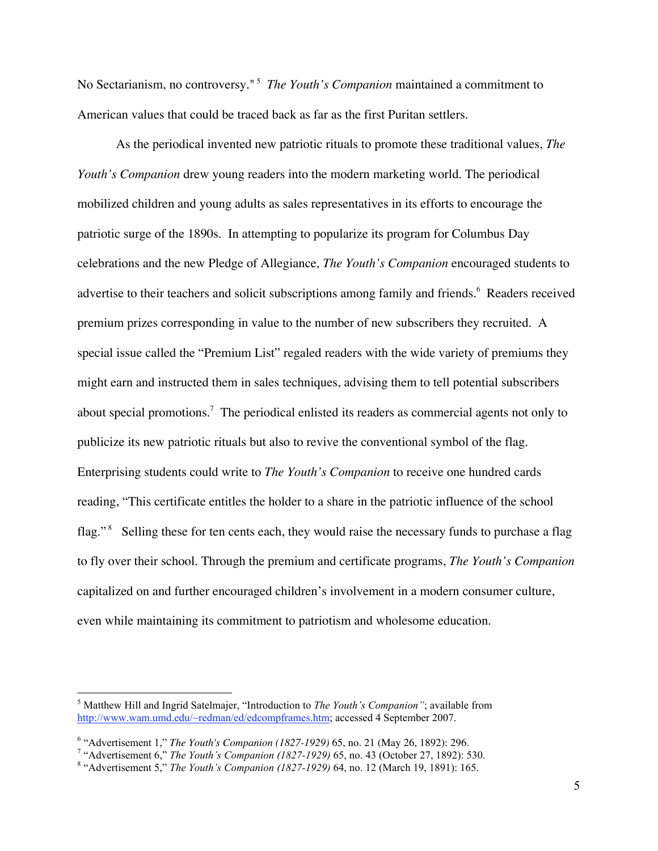No Sectarianism, no controversy."<sup>5</sup> The Youth's Companion maintained a commitment to American values that could be traced back as far as the first Puritan settlers.

As the periodical invented new patriotic rituals to promote these traditional values, *The Youth's Companion* drew young readers into the modern marketing world. The periodical mobilized children and young adults as sales representatives in its efforts to encourage the patriotic surge of the 1890s. In attempting to popularize its program for Columbus Day celebrations and the new Pledge of Allegiance, *The Youth's Companion* encouraged students to advertise to their teachers and solicit subscriptions among family and friends.<sup>6</sup> Readers received premium prizes corresponding in value to the number of new subscribers they recruited. A special issue called the "Premium List" regaled readers with the wide variety of premiums they might earn and instructed them in sales techniques, advising them to tell potential subscribers about special promotions.<sup>7</sup> The periodical enlisted its readers as commercial agents not only to publicize its new patriotic rituals but also to revive the conventional symbol of the flag. Enterprising students could write to *The Youth's Companion* to receive one hundred cards reading, "This certificate entitles the holder to a share in the patriotic influence of the school flag."<sup>8</sup> Selling these for ten cents each, they would raise the necessary funds to purchase a flag to fly over their school. Through the premium and certificate programs, *The Youth's Companion*  capitalized on and further encouraged children's involvement in a modern consumer culture, even while maintaining its commitment to patriotism and wholesome education.

 <sup>5</sup> Matthew Hill and Ingrid Satelmajer, "Introduction to *The Youth's Companion"*; available from http://www.wam.umd.edu/~redman/ed/edcompframes.htm; accessed 4 September 2007.

<sup>&</sup>lt;sup>6</sup> "Advertisement 1," *The Youth's Companion (1827-1929)* 65, no. 21 (May 26, 1892): 296.<br><sup>7</sup> "Advertisement 6," *The Youth's Companion (1827-1929)* 65, no. 43 (October 27, 1892): 530.<br><sup>8</sup> "Advertisement 5," *The Youth's*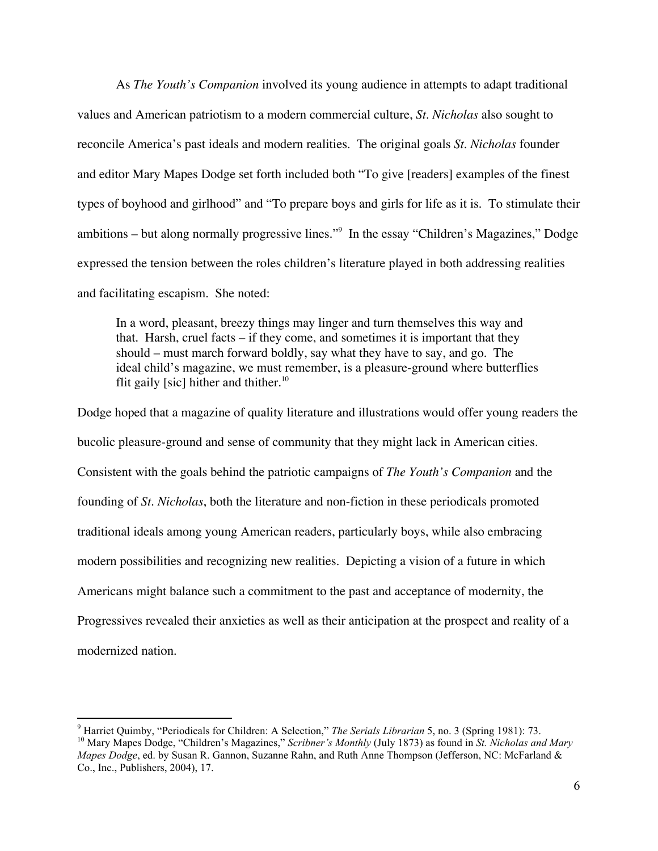As *The Youth's Companion* involved its young audience in attempts to adapt traditional values and American patriotism to a modern commercial culture, *St. Nicholas* also sought to reconcile America's past ideals and modern realities. The original goals *St. Nicholas* founder and editor Mary Mapes Dodge set forth included both "To give [readers] examples of the finest types of boyhood and girlhood" and "To prepare boys and girls for life as it is. To stimulate their ambitions – but along normally progressive lines."9 In the essay "Children's Magazines," Dodge expressed the tension between the roles children's literature played in both addressing realities and facilitating escapism. She noted:

In a word, pleasant, breezy things may linger and turn themselves this way and that. Harsh, cruel facts – if they come, and sometimes it is important that they should – must march forward boldly, say what they have to say, and go. The ideal child's magazine, we must remember, is a pleasure-ground where butterflies flit gaily [sic] hither and thither.<sup>10</sup>

Dodge hoped that a magazine of quality literature and illustrations would offer young readers the bucolic pleasure-ground and sense of community that they might lack in American cities. Consistent with the goals behind the patriotic campaigns of *The Youth's Companion* and the founding of *St. Nicholas*, both the literature and non-fiction in these periodicals promoted traditional ideals among young American readers, particularly boys, while also embracing modern possibilities and recognizing new realities. Depicting a vision of a future in which Americans might balance such a commitment to the past and acceptance of modernity, the Progressives revealed their anxieties as well as their anticipation at the prospect and reality of a modernized nation.

<sup>&</sup>lt;sup>9</sup> Harriet Quimby, "Periodicals for Children: A Selection," *The Serials Librarian* 5, no. 3 (Spring 1981): 73.<br><sup>10</sup> Marv Manes Dodge, "Children's Magazines," *Scribner's Monthly* (July 1873) as found in *St. Nicholas an Mapes Dodge*, ed. by Susan R. Gannon, Suzanne Rahn, and Ruth Anne Thompson (Jefferson, NC: McFarland & Co., Inc., Publishers, 2004), 17.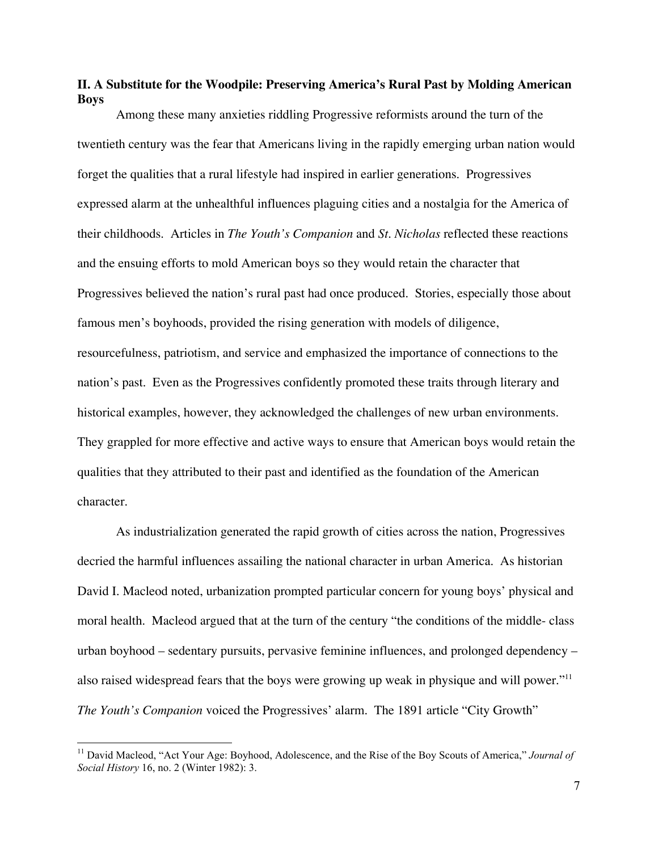**II. A Substitute for the Woodpile: Preserving America's Rural Past by Molding American Boys**

Among these many anxieties riddling Progressive reformists around the turn of the twentieth century was the fear that Americans living in the rapidly emerging urban nation would forget the qualities that a rural lifestyle had inspired in earlier generations. Progressives expressed alarm at the unhealthful influences plaguing cities and a nostalgia for the America of their childhoods. Articles in *The Youth's Companion* and *St. Nicholas* reflected these reactions and the ensuing efforts to mold American boys so they would retain the character that Progressives believed the nation's rural past had once produced. Stories, especially those about famous men's boyhoods, provided the rising generation with models of diligence, resourcefulness, patriotism, and service and emphasized the importance of connections to the nation's past. Even as the Progressives confidently promoted these traits through literary and historical examples, however, they acknowledged the challenges of new urban environments. They grappled for more effective and active ways to ensure that American boys would retain the qualities that they attributed to their past and identified as the foundation of the American character.

As industrialization generated the rapid growth of cities across the nation, Progressives decried the harmful influences assailing the national character in urban America. As historian David I. Macleod noted, urbanization prompted particular concern for young boys' physical and moral health. Macleod argued that at the turn of the century "the conditions of the middle- class urban boyhood – sedentary pursuits, pervasive feminine influences, and prolonged dependency – also raised widespread fears that the boys were growing up weak in physique and will power."<sup>11</sup> *The Youth's Companion* voiced the Progressives' alarm. The 1891 article "City Growth"

 <sup>11</sup> David Macleod, "Act Your Age: Boyhood, Adolescence, and the Rise of the Boy Scouts of America," *Journal of Social History* 16, no. 2 (Winter 1982): 3.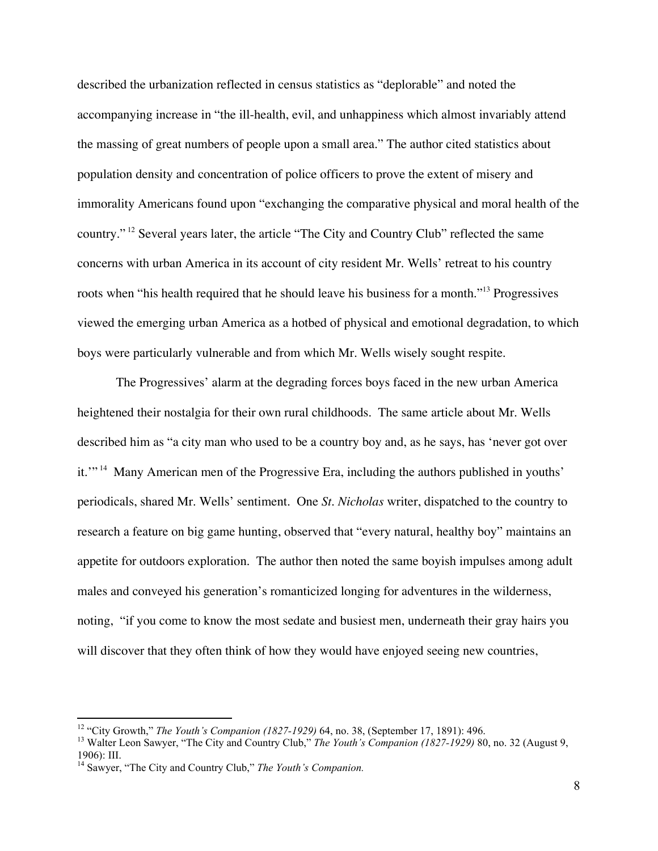described the urbanization reflected in census statistics as "deplorable" and noted the accompanying increase in "the ill-health, evil, and unhappiness which almost invariably attend the massing of great numbers of people upon a small area." The author cited statistics about population density and concentration of police officers to prove the extent of misery and immorality Americans found upon "exchanging the comparative physical and moral health of the country." 12 Several years later, the article "The City and Country Club" reflected the same concerns with urban America in its account of city resident Mr. Wells' retreat to his country roots when "his health required that he should leave his business for a month."13 Progressives viewed the emerging urban America as a hotbed of physical and emotional degradation, to which boys were particularly vulnerable and from which Mr. Wells wisely sought respite.

The Progressives' alarm at the degrading forces boys faced in the new urban America heightened their nostalgia for their own rural childhoods. The same article about Mr. Wells described him as "a city man who used to be a country boy and, as he says, has 'never got over it.'"<sup>14</sup> Many American men of the Progressive Era, including the authors published in youths' periodicals, shared Mr. Wells' sentiment. One *St. Nicholas* writer, dispatched to the country to research a feature on big game hunting, observed that "every natural, healthy boy" maintains an appetite for outdoors exploration. The author then noted the same boyish impulses among adult males and conveyed his generation's romanticized longing for adventures in the wilderness, noting, "if you come to know the most sedate and busiest men, underneath their gray hairs you will discover that they often think of how they would have enjoyed seeing new countries,

<sup>&</sup>lt;sup>12</sup> "City Growth," *The Youth's Companion (1827-1929)* 64, no. 38, (September 17, 1891): 496.<br><sup>13</sup> Walter Leon Sawyer, "The City and Country Club," *The Youth's Companion (1827-1929)* 80, no. 32 (August 9, 1906): III. <sup>14</sup> Sawyer, "The City and Country Club," *The Youth's Companion.*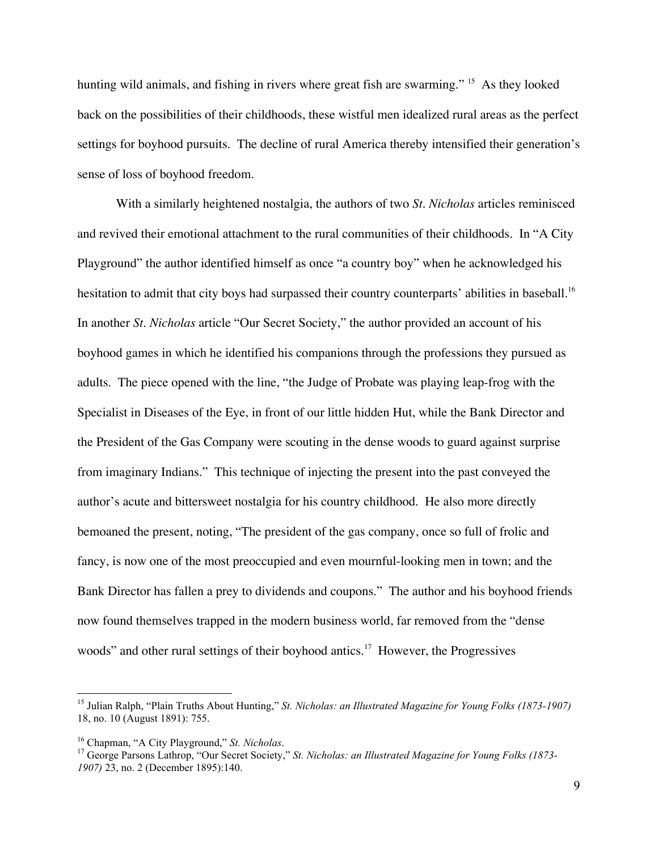hunting wild animals, and fishing in rivers where great fish are swarming." 15As they looked back on the possibilities of their childhoods, these wistful men idealized rural areas as the perfect settings for boyhood pursuits. The decline of rural America thereby intensified their generation's sense of loss of boyhood freedom.

With a similarly heightened nostalgia, the authors of two *St. Nicholas* articles reminisced and revived their emotional attachment to the rural communities of their childhoods. In "A City Playground" the author identified himself as once "a country boy" when he acknowledged his hesitation to admit that city boys had surpassed their country counterparts' abilities in baseball.<sup>16</sup> In another *St. Nicholas* article "Our Secret Society," the author provided an account of his boyhood games in which he identified his companions through the professions they pursued as adults. The piece opened with the line, "the Judge of Probate was playing leap-frog with the Specialist in Diseases of the Eye, in front of our little hidden Hut, while the Bank Director and the President of the Gas Company were scouting in the dense woods to guard against surprise from imaginary Indians." This technique of injecting the present into the past conveyed the author's acute and bittersweet nostalgia for his country childhood. He also more directly bemoaned the present, noting, "The president of the gas company, once so full of frolic and fancy, is now one of the most preoccupied and even mournful-looking men in town; and the Bank Director has fallen a prey to dividends and coupons." The author and his boyhood friends now found themselves trapped in the modern business world, far removed from the "dense woods" and other rural settings of their boyhood antics.<sup>17</sup> However, the Progressives

 <sup>15</sup> Julian Ralph, "Plain Truths About Hunting," *St. Nicholas: an Illustrated Magazine for Young Folks (1873-1907)* 18, no. 10 (August 1891): 755.

<sup>&</sup>lt;sup>16</sup> Chapman, "A City Playground," St. Nicholas.<br><sup>17</sup> George Parsons Lathrop, "Our Secret Society," St. Nicholas: an Illustrated Magazine for Young Folks (1873-*1907)* 23, no. 2 (December 1895):140.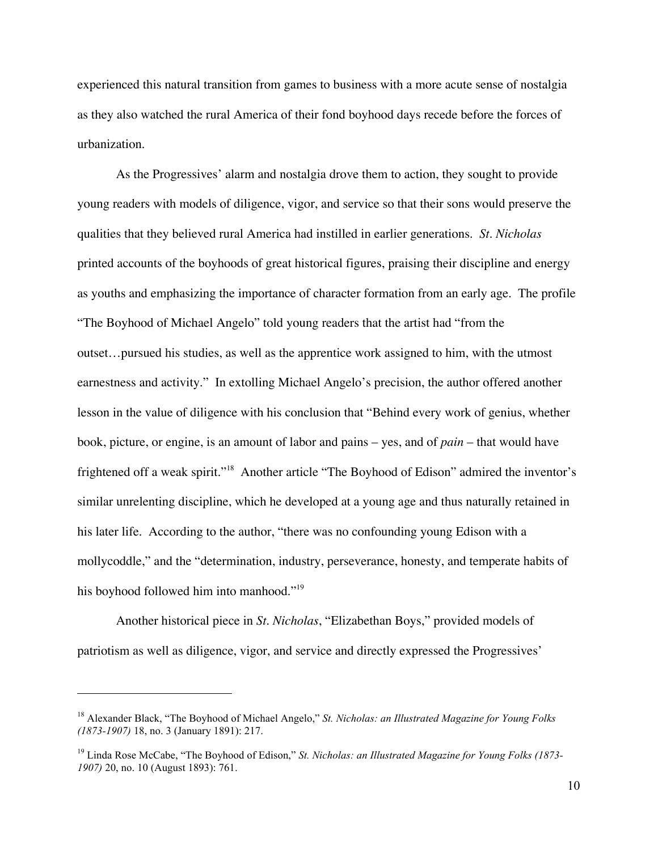experienced this natural transition from games to business with a more acute sense of nostalgia as they also watched the rural America of their fond boyhood days recede before the forces of urbanization.

As the Progressives' alarm and nostalgia drove them to action, they sought to provide young readers with models of diligence, vigor, and service so that their sons would preserve the qualities that they believed rural America had instilled in earlier generations. *St. Nicholas*  printed accounts of the boyhoods of great historical figures, praising their discipline and energy as youths and emphasizing the importance of character formation from an early age. The profile "The Boyhood of Michael Angelo" told young readers that the artist had "from the outset…pursued his studies, as well as the apprentice work assigned to him, with the utmost earnestness and activity." In extolling Michael Angelo's precision, the author offered another lesson in the value of diligence with his conclusion that "Behind every work of genius, whether book, picture, or engine, is an amount of labor and pains – yes, and of *pain* – that would have frightened off a weak spirit."18 Another article "The Boyhood of Edison" admired the inventor's similar unrelenting discipline, which he developed at a young age and thus naturally retained in his later life. According to the author, "there was no confounding young Edison with a mollycoddle," and the "determination, industry, perseverance, honesty, and temperate habits of his boyhood followed him into manhood."<sup>19</sup>

Another historical piece in *St. Nicholas*, "Elizabethan Boys," provided models of patriotism as well as diligence, vigor, and service and directly expressed the Progressives'

 $\overline{a}$ 

<sup>18</sup> Alexander Black, "The Boyhood of Michael Angelo," *St. Nicholas: an Illustrated Magazine for Young Folks (1873-1907)* 18, no. 3 (January 1891): 217.

<sup>19</sup> Linda Rose McCabe, "The Boyhood of Edison," *St. Nicholas: an Illustrated Magazine for Young Folks (1873- 1907)* 20, no. 10 (August 1893): 761.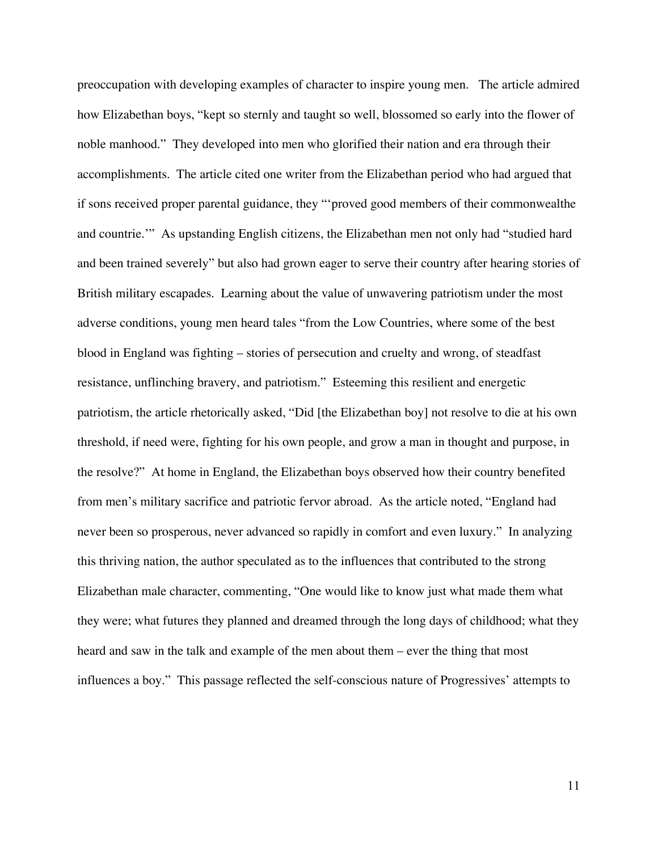preoccupation with developing examples of character to inspire young men. The article admired how Elizabethan boys, "kept so sternly and taught so well, blossomed so early into the flower of noble manhood." They developed into men who glorified their nation and era through their accomplishments. The article cited one writer from the Elizabethan period who had argued that if sons received proper parental guidance, they "'proved good members of their commonwealthe and countrie.'" As upstanding English citizens, the Elizabethan men not only had "studied hard and been trained severely" but also had grown eager to serve their country after hearing stories of British military escapades. Learning about the value of unwavering patriotism under the most adverse conditions, young men heard tales "from the Low Countries, where some of the best blood in England was fighting – stories of persecution and cruelty and wrong, of steadfast resistance, unflinching bravery, and patriotism." Esteeming this resilient and energetic patriotism, the article rhetorically asked, "Did [the Elizabethan boy] not resolve to die at his own threshold, if need were, fighting for his own people, and grow a man in thought and purpose, in the resolve?" At home in England, the Elizabethan boys observed how their country benefited from men's military sacrifice and patriotic fervor abroad. As the article noted, "England had never been so prosperous, never advanced so rapidly in comfort and even luxury." In analyzing this thriving nation, the author speculated as to the influences that contributed to the strong Elizabethan male character, commenting, "One would like to know just what made them what they were; what futures they planned and dreamed through the long days of childhood; what they heard and saw in the talk and example of the men about them – ever the thing that most influences a boy." This passage reflected the self-conscious nature of Progressives' attempts to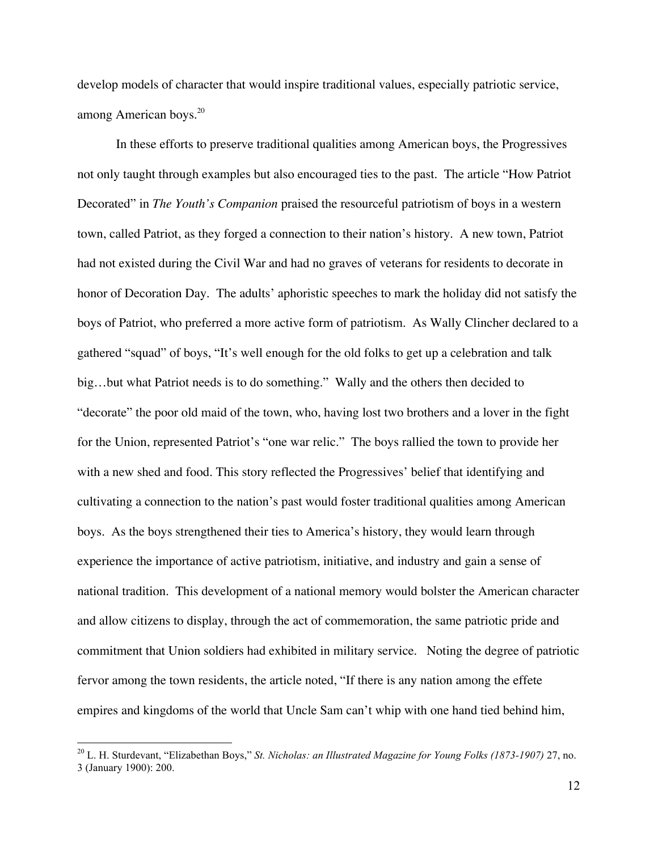develop models of character that would inspire traditional values, especially patriotic service, among American boys.<sup>20</sup>

In these efforts to preserve traditional qualities among American boys, the Progressives not only taught through examples but also encouraged ties to the past. The article "How Patriot Decorated" in *The Youth's Companion* praised the resourceful patriotism of boys in a western town, called Patriot, as they forged a connection to their nation's history. A new town, Patriot had not existed during the Civil War and had no graves of veterans for residents to decorate in honor of Decoration Day. The adults' aphoristic speeches to mark the holiday did not satisfy the boys of Patriot, who preferred a more active form of patriotism. As Wally Clincher declared to a gathered "squad" of boys, "It's well enough for the old folks to get up a celebration and talk big…but what Patriot needs is to do something." Wally and the others then decided to "decorate" the poor old maid of the town, who, having lost two brothers and a lover in the fight for the Union, represented Patriot's "one war relic." The boys rallied the town to provide her with a new shed and food. This story reflected the Progressives' belief that identifying and cultivating a connection to the nation's past would foster traditional qualities among American boys. As the boys strengthened their ties to America's history, they would learn through experience the importance of active patriotism, initiative, and industry and gain a sense of national tradition. This development of a national memory would bolster the American character and allow citizens to display, through the act of commemoration, the same patriotic pride and commitment that Union soldiers had exhibited in military service. Noting the degree of patriotic fervor among the town residents, the article noted, "If there is any nation among the effete empires and kingdoms of the world that Uncle Sam can't whip with one hand tied behind him,

 <sup>20</sup> L. H. Sturdevant, "Elizabethan Boys," *St. Nicholas: an Illustrated Magazine for Young Folks (1873-1907)* 27, no. 3 (January 1900): 200.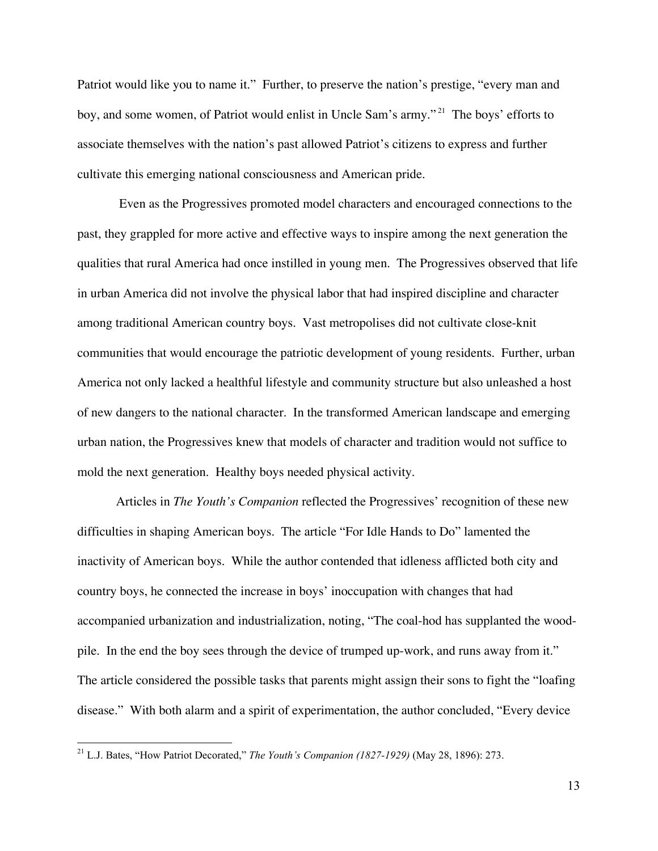Patriot would like you to name it." Further, to preserve the nation's prestige, "every man and boy, and some women, of Patriot would enlist in Uncle Sam's army." 21 The boys' efforts to associate themselves with the nation's past allowed Patriot's citizens to express and further cultivate this emerging national consciousness and American pride.

 Even as the Progressives promoted model characters and encouraged connections to the past, they grappled for more active and effective ways to inspire among the next generation the qualities that rural America had once instilled in young men. The Progressives observed that life in urban America did not involve the physical labor that had inspired discipline and character among traditional American country boys. Vast metropolises did not cultivate close-knit communities that would encourage the patriotic development of young residents. Further, urban America not only lacked a healthful lifestyle and community structure but also unleashed a host of new dangers to the national character. In the transformed American landscape and emerging urban nation, the Progressives knew that models of character and tradition would not suffice to mold the next generation. Healthy boys needed physical activity.

Articles in *The Youth's Companion* reflected the Progressives' recognition of these new difficulties in shaping American boys. The article "For Idle Hands to Do" lamented the inactivity of American boys. While the author contended that idleness afflicted both city and country boys, he connected the increase in boys' inoccupation with changes that had accompanied urbanization and industrialization, noting, "The coal-hod has supplanted the woodpile. In the end the boy sees through the device of trumped up-work, and runs away from it." The article considered the possible tasks that parents might assign their sons to fight the "loafing disease." With both alarm and a spirit of experimentation, the author concluded, "Every device

13

 <sup>21</sup> L.J. Bates, "How Patriot Decorated," *The Youth's Companion (1827-1929)* (May 28, 1896): 273.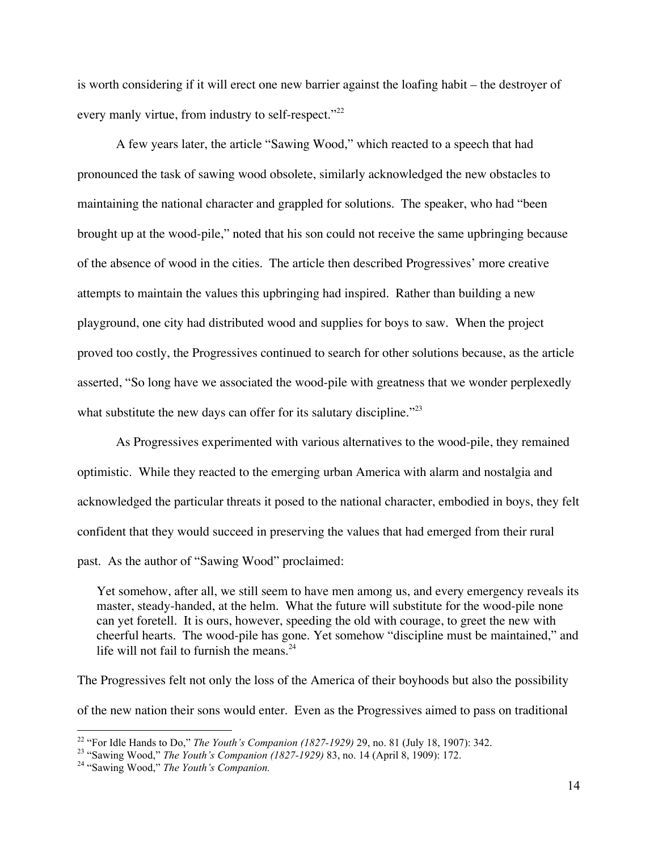is worth considering if it will erect one new barrier against the loafing habit – the destroyer of every manly virtue, from industry to self-respect."<sup>22</sup>

A few years later, the article "Sawing Wood," which reacted to a speech that had pronounced the task of sawing wood obsolete, similarly acknowledged the new obstacles to maintaining the national character and grappled for solutions. The speaker, who had "been brought up at the wood-pile," noted that his son could not receive the same upbringing because of the absence of wood in the cities. The article then described Progressives' more creative attempts to maintain the values this upbringing had inspired. Rather than building a new playground, one city had distributed wood and supplies for boys to saw. When the project proved too costly, the Progressives continued to search for other solutions because, as the article asserted, "So long have we associated the wood-pile with greatness that we wonder perplexedly what substitute the new days can offer for its salutary discipline. $123$ 

As Progressives experimented with various alternatives to the wood-pile, they remained optimistic. While they reacted to the emerging urban America with alarm and nostalgia and acknowledged the particular threats it posed to the national character, embodied in boys, they felt confident that they would succeed in preserving the values that had emerged from their rural past. As the author of "Sawing Wood" proclaimed:

Yet somehow, after all, we still seem to have men among us, and every emergency reveals its master, steady-handed, at the helm. What the future will substitute for the wood-pile none can yet foretell. It is ours, however, speeding the old with courage, to greet the new with cheerful hearts. The wood-pile has gone. Yet somehow "discipline must be maintained," and life will not fail to furnish the means. $24$ 

The Progressives felt not only the loss of the America of their boyhoods but also the possibility of the new nation their sons would enter. Even as the Progressives aimed to pass on traditional

<sup>&</sup>lt;sup>22</sup> "For Idle Hands to Do," *The Youth's Companion (1827-1929)* 29, no. 81 (July 18, 1907): 342.<br><sup>23</sup> "Sawing Wood," *The Youth's Companion (1827-1929)* 83, no. 14 (April 8, 1909): 172.<br><sup>24</sup> "Sawing Wood," *The Youth's C*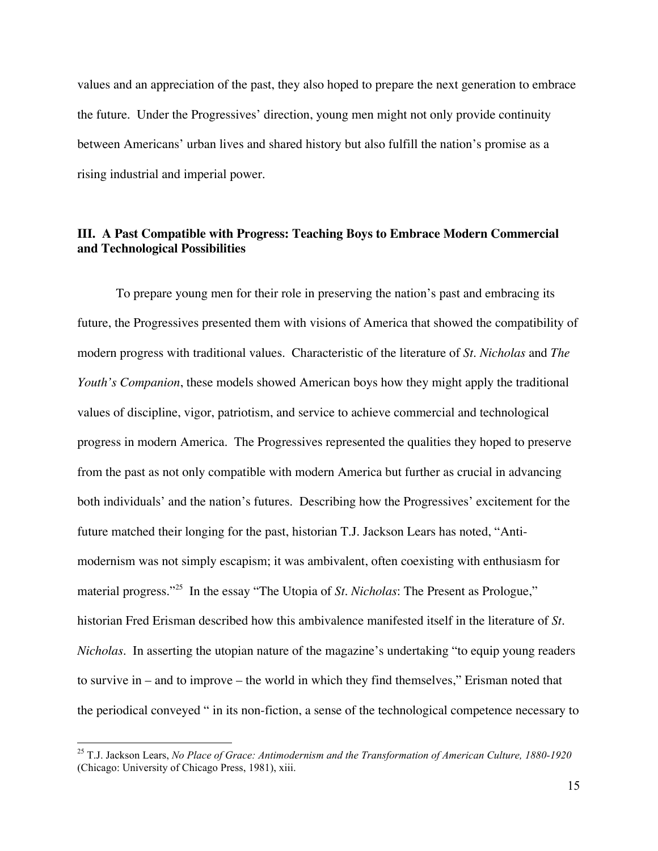values and an appreciation of the past, they also hoped to prepare the next generation to embrace the future. Under the Progressives' direction, young men might not only provide continuity between Americans' urban lives and shared history but also fulfill the nation's promise as a rising industrial and imperial power.

## **III. A Past Compatible with Progress: Teaching Boys to Embrace Modern Commercial and Technological Possibilities**

To prepare young men for their role in preserving the nation's past and embracing its future, the Progressives presented them with visions of America that showed the compatibility of modern progress with traditional values. Characteristic of the literature of *St. Nicholas* and *The Youth's Companion*, these models showed American boys how they might apply the traditional values of discipline, vigor, patriotism, and service to achieve commercial and technological progress in modern America. The Progressives represented the qualities they hoped to preserve from the past as not only compatible with modern America but further as crucial in advancing both individuals' and the nation's futures. Describing how the Progressives' excitement for the future matched their longing for the past, historian T.J. Jackson Lears has noted, "Antimodernism was not simply escapism; it was ambivalent, often coexisting with enthusiasm for material progress."25 In the essay "The Utopia of *St. Nicholas*: The Present as Prologue," historian Fred Erisman described how this ambivalence manifested itself in the literature of *St. Nicholas*. In asserting the utopian nature of the magazine's undertaking "to equip young readers to survive in – and to improve – the world in which they find themselves," Erisman noted that the periodical conveyed " in its non-fiction, a sense of the technological competence necessary to

 <sup>25</sup> T.J. Jackson Lears, *No Place of Grace: Antimodernism and the Transformation of American Culture, 1880-1920* (Chicago: University of Chicago Press, 1981), xiii.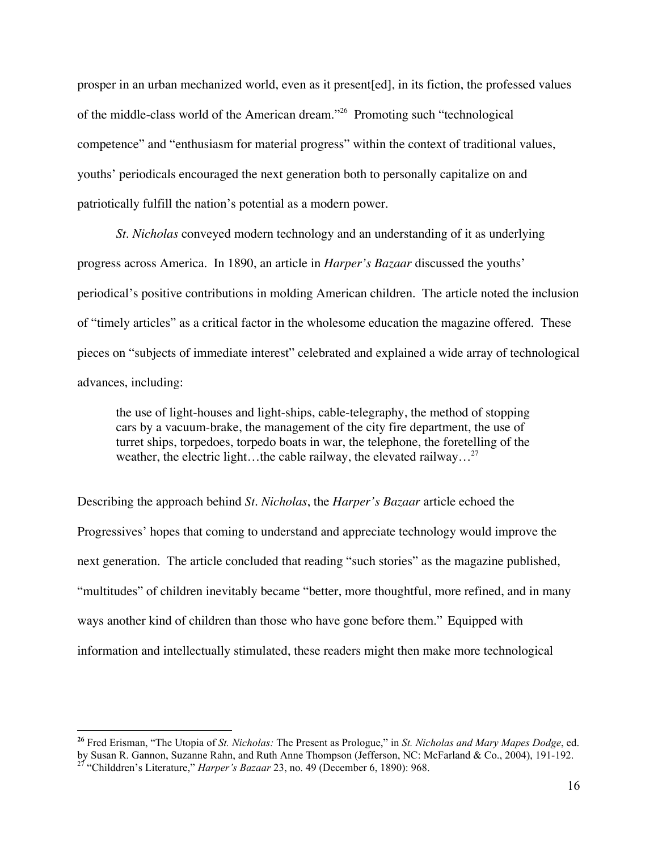prosper in an urban mechanized world, even as it present[ed], in its fiction, the professed values of the middle-class world of the American dream."26 Promoting such "technological competence" and "enthusiasm for material progress" within the context of traditional values, youths' periodicals encouraged the next generation both to personally capitalize on and patriotically fulfill the nation's potential as a modern power.

*St. Nicholas* conveyed modern technology and an understanding of it as underlying progress across America. In 1890, an article in *Harper's Bazaar* discussed the youths' periodical's positive contributions in molding American children. The article noted the inclusion of "timely articles" as a critical factor in the wholesome education the magazine offered. These pieces on "subjects of immediate interest" celebrated and explained a wide array of technological advances, including:

the use of light-houses and light-ships, cable-telegraphy, the method of stopping cars by a vacuum-brake, the management of the city fire department, the use of turret ships, torpedoes, torpedo boats in war, the telephone, the foretelling of the weather, the electric light...the cable railway, the elevated railway...<sup>27</sup>

Describing the approach behind *St. Nicholas*, the *Harper's Bazaar* article echoed the Progressives' hopes that coming to understand and appreciate technology would improve the next generation. The article concluded that reading "such stories" as the magazine published, "multitudes" of children inevitably became "better, more thoughtful, more refined, and in many ways another kind of children than those who have gone before them." Equipped with information and intellectually stimulated, these readers might then make more technological

**<sup>26</sup>** Fred Erisman, "The Utopia of *St. Nicholas:* The Present as Prologue," in *St. Nicholas and Mary Mapes Dodge*, ed. by Susan R. Gannon, Suzanne Rahn, and Ruth Anne Thompson (Jefferson, NC: McFarland & Co., 2004), 191-192. <sup>27</sup> "Childdren's Literature," *Harper's Bazaar* 23, no. <sup>49</sup> (December 6, 1890): 968.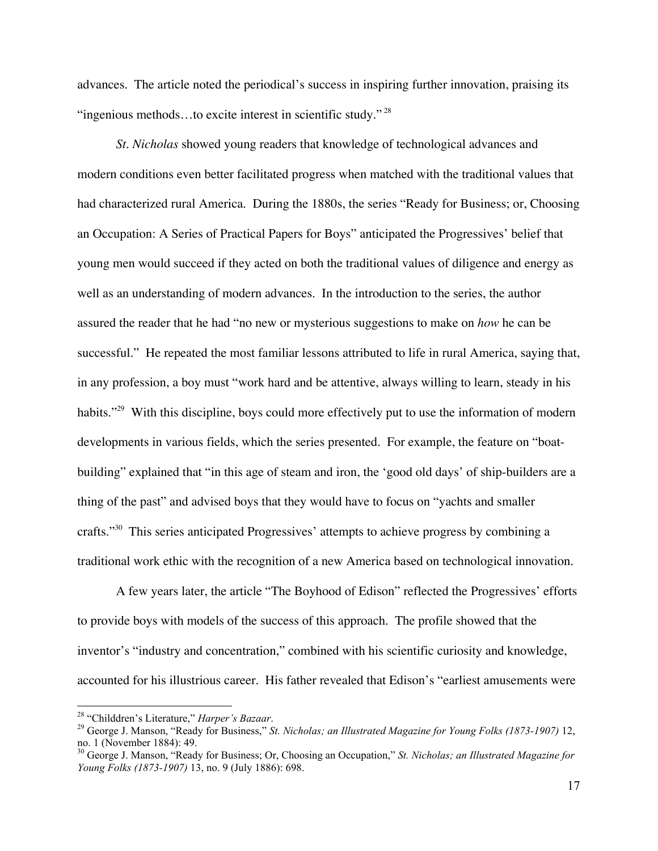advances. The article noted the periodical's success in inspiring further innovation, praising its "ingenious methods...to excite interest in scientific study."  $28$ 

*St. Nicholas* showed young readers that knowledge of technological advances and modern conditions even better facilitated progress when matched with the traditional values that had characterized rural America. During the 1880s, the series "Ready for Business; or, Choosing an Occupation: A Series of Practical Papers for Boys" anticipated the Progressives' belief that young men would succeed if they acted on both the traditional values of diligence and energy as well as an understanding of modern advances. In the introduction to the series, the author assured the reader that he had "no new or mysterious suggestions to make on *how* he can be successful." He repeated the most familiar lessons attributed to life in rural America, saying that, in any profession, a boy must "work hard and be attentive, always willing to learn, steady in his habits."<sup>29</sup> With this discipline, boys could more effectively put to use the information of modern developments in various fields, which the series presented. For example, the feature on "boatbuilding" explained that "in this age of steam and iron, the 'good old days' of ship-builders are a thing of the past" and advised boys that they would have to focus on "yachts and smaller crafts."30 This series anticipated Progressives' attempts to achieve progress by combining a traditional work ethic with the recognition of a new America based on technological innovation.

A few years later, the article "The Boyhood of Edison" reflected the Progressives' efforts to provide boys with models of the success of this approach. The profile showed that the inventor's "industry and concentration," combined with his scientific curiosity and knowledge, accounted for his illustrious career. His father revealed that Edison's "earliest amusements were

<sup>&</sup>lt;sup>28</sup> "Childdren's Literature," *Harper's Bazaar*.<br><sup>29</sup> George J. Manson, "Ready for Business," *St. Nicholas; an Illustrated Magazine for Young Folks (1873-1907)* 12, no. 1 (November 1884): 49.

<sup>&</sup>lt;sup>30</sup> George J. Manson, "Ready for Business; Or, Choosing an Occupation," *St. Nicholas; an Illustrated Magazine for Young Folks (1873-1907)* 13, no. 9 (July 1886): 698.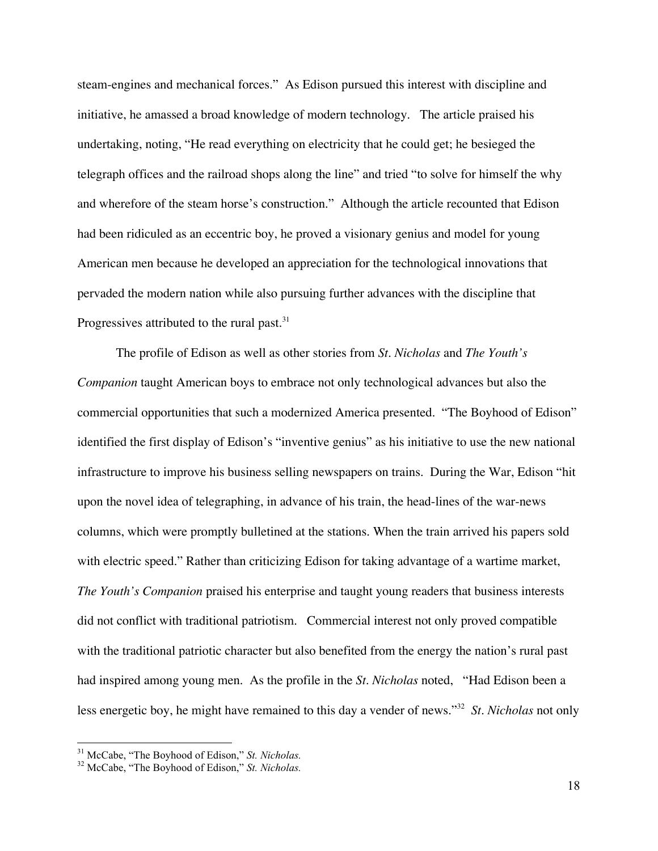steam-engines and mechanical forces." As Edison pursued this interest with discipline and initiative, he amassed a broad knowledge of modern technology. The article praised his undertaking, noting, "He read everything on electricity that he could get; he besieged the telegraph offices and the railroad shops along the line" and tried "to solve for himself the why and wherefore of the steam horse's construction." Although the article recounted that Edison had been ridiculed as an eccentric boy, he proved a visionary genius and model for young American men because he developed an appreciation for the technological innovations that pervaded the modern nation while also pursuing further advances with the discipline that Progressives attributed to the rural past.<sup>31</sup>

The profile of Edison as well as other stories from *St. Nicholas* and *The Youth's Companion* taught American boys to embrace not only technological advances but also the commercial opportunities that such a modernized America presented. "The Boyhood of Edison" identified the first display of Edison's "inventive genius" as his initiative to use the new national infrastructure to improve his business selling newspapers on trains. During the War, Edison "hit upon the novel idea of telegraphing, in advance of his train, the head-lines of the war-news columns, which were promptly bulletined at the stations. When the train arrived his papers sold with electric speed." Rather than criticizing Edison for taking advantage of a wartime market, *The Youth's Companion* praised his enterprise and taught young readers that business interests did not conflict with traditional patriotism. Commercial interest not only proved compatible with the traditional patriotic character but also benefited from the energy the nation's rural past had inspired among young men. As the profile in the *St. Nicholas* noted, "Had Edison been a less energetic boy, he might have remained to this day a vender of news."32 *St. Nicholas* not only

<sup>31</sup> McCabe, "The Boyhood of Edison," *St. Nicholas.* <sup>32</sup> McCabe, "The Boyhood of Edison," *St. Nicholas.*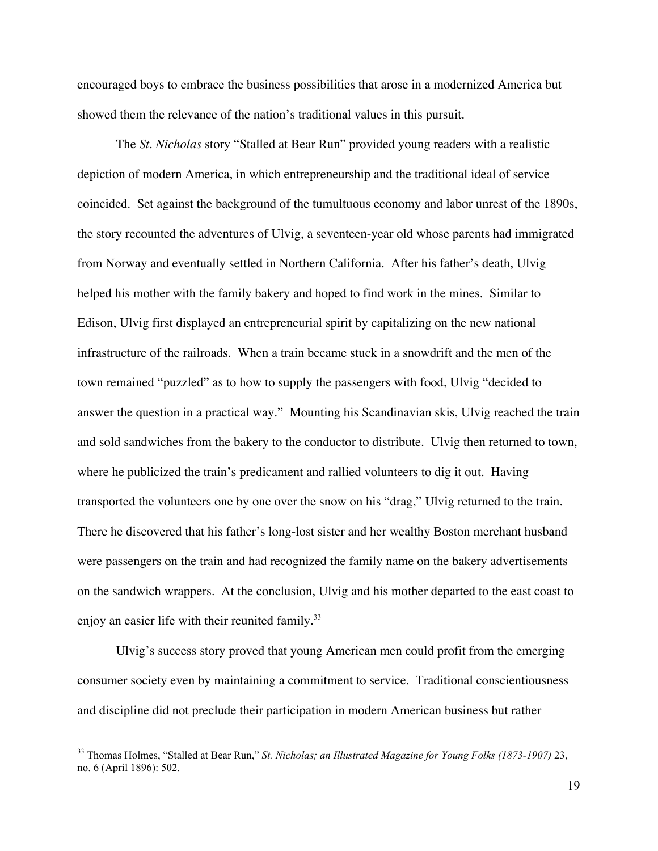encouraged boys to embrace the business possibilities that arose in a modernized America but showed them the relevance of the nation's traditional values in this pursuit.

The *St. Nicholas* story "Stalled at Bear Run" provided young readers with a realistic depiction of modern America, in which entrepreneurship and the traditional ideal of service coincided. Set against the background of the tumultuous economy and labor unrest of the 1890s, the story recounted the adventures of Ulvig, a seventeen-year old whose parents had immigrated from Norway and eventually settled in Northern California. After his father's death, Ulvig helped his mother with the family bakery and hoped to find work in the mines. Similar to Edison, Ulvig first displayed an entrepreneurial spirit by capitalizing on the new national infrastructure of the railroads. When a train became stuck in a snowdrift and the men of the town remained "puzzled" as to how to supply the passengers with food, Ulvig "decided to answer the question in a practical way." Mounting his Scandinavian skis, Ulvig reached the train and sold sandwiches from the bakery to the conductor to distribute. Ulvig then returned to town, where he publicized the train's predicament and rallied volunteers to dig it out. Having transported the volunteers one by one over the snow on his "drag," Ulvig returned to the train. There he discovered that his father's long-lost sister and her wealthy Boston merchant husband were passengers on the train and had recognized the family name on the bakery advertisements on the sandwich wrappers. At the conclusion, Ulvig and his mother departed to the east coast to enjoy an easier life with their reunited family.<sup>33</sup>

Ulvig's success story proved that young American men could profit from the emerging consumer society even by maintaining a commitment to service. Traditional conscientiousness and discipline did not preclude their participation in modern American business but rather

 <sup>33</sup> Thomas Holmes, "Stalled at Bear Run," *St. Nicholas; an Illustrated Magazine for Young Folks (1873-1907)* 23, no. 6 (April 1896): 502.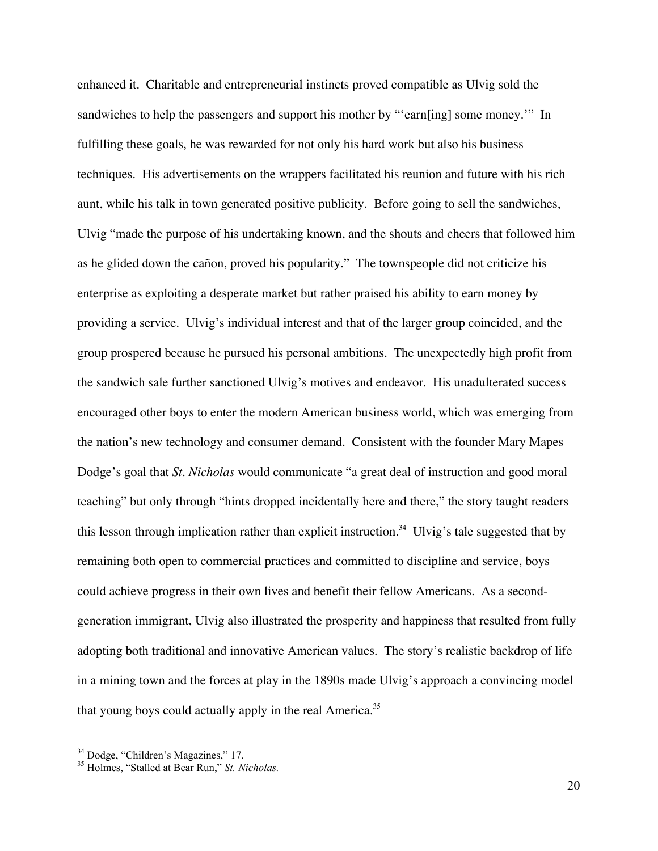enhanced it. Charitable and entrepreneurial instincts proved compatible as Ulvig sold the sandwiches to help the passengers and support his mother by "'earn[ing] some money.'" In fulfilling these goals, he was rewarded for not only his hard work but also his business techniques. His advertisements on the wrappers facilitated his reunion and future with his rich aunt, while his talk in town generated positive publicity. Before going to sell the sandwiches, Ulvig "made the purpose of his undertaking known, and the shouts and cheers that followed him as he glided down the cañon, proved his popularity." The townspeople did not criticize his enterprise as exploiting a desperate market but rather praised his ability to earn money by providing a service. Ulvig's individual interest and that of the larger group coincided, and the group prospered because he pursued his personal ambitions. The unexpectedly high profit from the sandwich sale further sanctioned Ulvig's motives and endeavor. His unadulterated success encouraged other boys to enter the modern American business world, which was emerging from the nation's new technology and consumer demand. Consistent with the founder Mary Mapes Dodge's goal that *St. Nicholas* would communicate "a great deal of instruction and good moral teaching" but only through "hints dropped incidentally here and there," the story taught readers this lesson through implication rather than explicit instruction.<sup>34</sup> Ulvig's tale suggested that by remaining both open to commercial practices and committed to discipline and service, boys could achieve progress in their own lives and benefit their fellow Americans. As a secondgeneration immigrant, Ulvig also illustrated the prosperity and happiness that resulted from fully adopting both traditional and innovative American values. The story's realistic backdrop of life in a mining town and the forces at play in the 1890s made Ulvig's approach a convincing model that young boys could actually apply in the real America.<sup>35</sup>

<sup>34</sup> Dodge, "Children's Magazines," 17. <sup>35</sup> Holmes, "Stalled at Bear Run," *St. Nicholas.*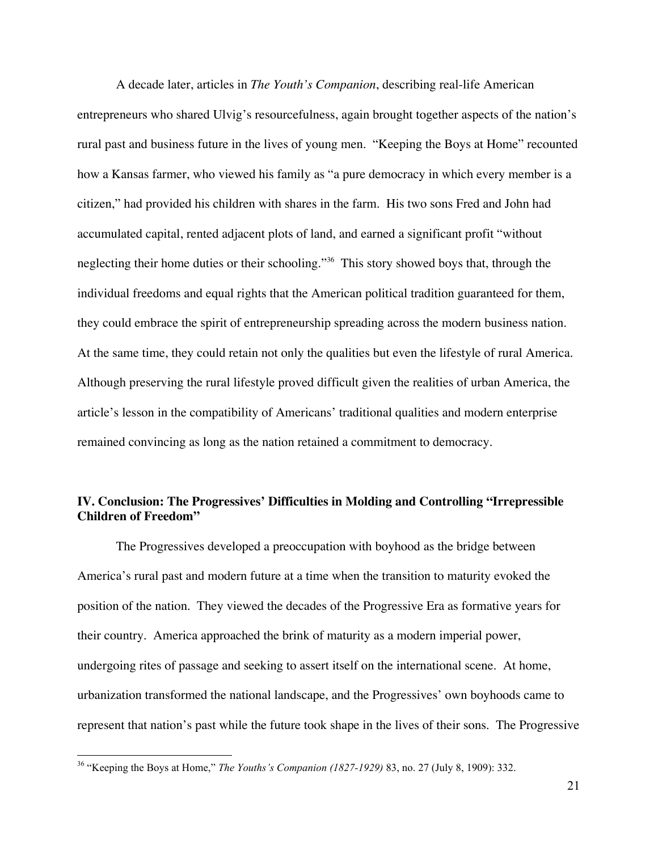A decade later, articles in *The Youth's Companion*, describing real-life American entrepreneurs who shared Ulvig's resourcefulness, again brought together aspects of the nation's rural past and business future in the lives of young men. "Keeping the Boys at Home" recounted how a Kansas farmer, who viewed his family as "a pure democracy in which every member is a citizen," had provided his children with shares in the farm. His two sons Fred and John had accumulated capital, rented adjacent plots of land, and earned a significant profit "without neglecting their home duties or their schooling."36 This story showed boys that, through the individual freedoms and equal rights that the American political tradition guaranteed for them, they could embrace the spirit of entrepreneurship spreading across the modern business nation. At the same time, they could retain not only the qualities but even the lifestyle of rural America. Although preserving the rural lifestyle proved difficult given the realities of urban America, the article's lesson in the compatibility of Americans' traditional qualities and modern enterprise remained convincing as long as the nation retained a commitment to democracy.

## **IV. Conclusion: The Progressives' Difficulties in Molding and Controlling "Irrepressible Children of Freedom"**

The Progressives developed a preoccupation with boyhood as the bridge between America's rural past and modern future at a time when the transition to maturity evoked the position of the nation. They viewed the decades of the Progressive Era as formative years for their country. America approached the brink of maturity as a modern imperial power, undergoing rites of passage and seeking to assert itself on the international scene. At home, urbanization transformed the national landscape, and the Progressives' own boyhoods came to represent that nation's past while the future took shape in the lives of their sons. The Progressive

 <sup>36</sup> "Keeping the Boys at Home," *The Youths's Companion (1827-1929)* 83, no. <sup>27</sup> (July 8, 1909): 332.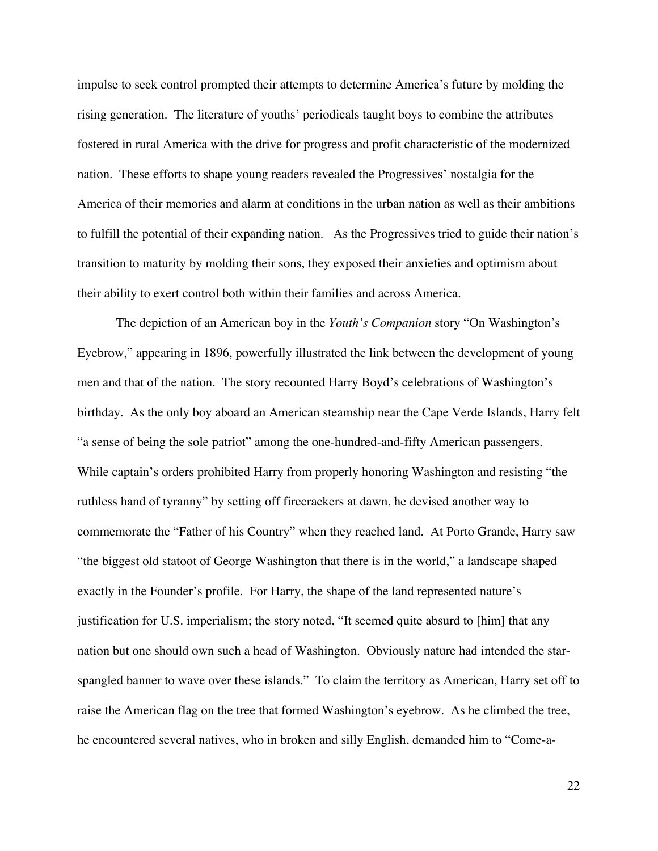impulse to seek control prompted their attempts to determine America's future by molding the rising generation. The literature of youths' periodicals taught boys to combine the attributes fostered in rural America with the drive for progress and profit characteristic of the modernized nation. These efforts to shape young readers revealed the Progressives' nostalgia for the America of their memories and alarm at conditions in the urban nation as well as their ambitions to fulfill the potential of their expanding nation. As the Progressives tried to guide their nation's transition to maturity by molding their sons, they exposed their anxieties and optimism about their ability to exert control both within their families and across America.

The depiction of an American boy in the *Youth's Companion* story "On Washington's Eyebrow," appearing in 1896, powerfully illustrated the link between the development of young men and that of the nation. The story recounted Harry Boyd's celebrations of Washington's birthday. As the only boy aboard an American steamship near the Cape Verde Islands, Harry felt "a sense of being the sole patriot" among the one-hundred-and-fifty American passengers. While captain's orders prohibited Harry from properly honoring Washington and resisting "the ruthless hand of tyranny" by setting off firecrackers at dawn, he devised another way to commemorate the "Father of his Country" when they reached land. At Porto Grande, Harry saw "the biggest old statoot of George Washington that there is in the world," a landscape shaped exactly in the Founder's profile. For Harry, the shape of the land represented nature's justification for U.S. imperialism; the story noted, "It seemed quite absurd to [him] that any nation but one should own such a head of Washington. Obviously nature had intended the starspangled banner to wave over these islands." To claim the territory as American, Harry set off to raise the American flag on the tree that formed Washington's eyebrow. As he climbed the tree, he encountered several natives, who in broken and silly English, demanded him to "Come-a-

22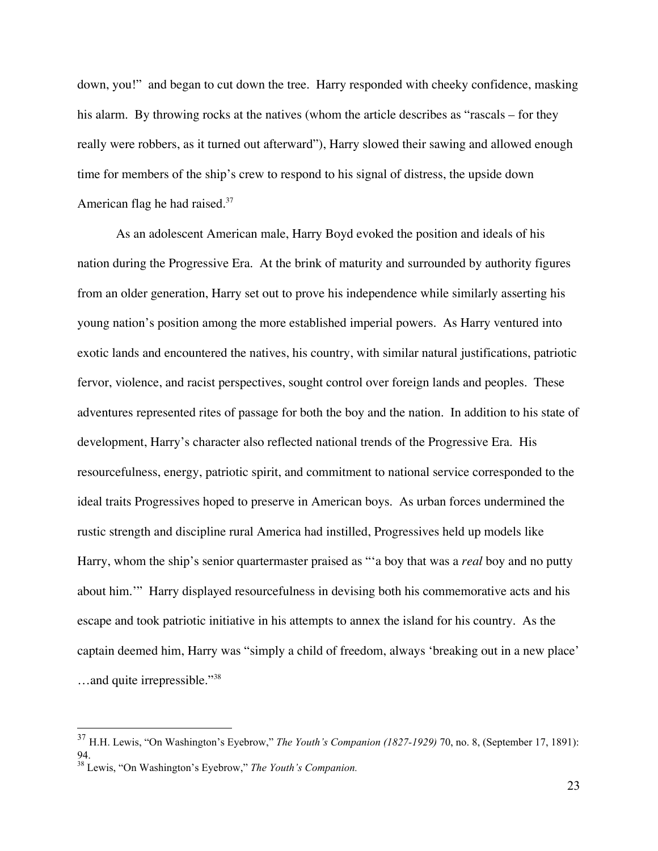down, you!" and began to cut down the tree. Harry responded with cheeky confidence, masking his alarm. By throwing rocks at the natives (whom the article describes as "rascals – for they really were robbers, as it turned out afterward"), Harry slowed their sawing and allowed enough time for members of the ship's crew to respond to his signal of distress, the upside down American flag he had raised. $37$ 

As an adolescent American male, Harry Boyd evoked the position and ideals of his nation during the Progressive Era. At the brink of maturity and surrounded by authority figures from an older generation, Harry set out to prove his independence while similarly asserting his young nation's position among the more established imperial powers. As Harry ventured into exotic lands and encountered the natives, his country, with similar natural justifications, patriotic fervor, violence, and racist perspectives, sought control over foreign lands and peoples. These adventures represented rites of passage for both the boy and the nation. In addition to his state of development, Harry's character also reflected national trends of the Progressive Era. His resourcefulness, energy, patriotic spirit, and commitment to national service corresponded to the ideal traits Progressives hoped to preserve in American boys. As urban forces undermined the rustic strength and discipline rural America had instilled, Progressives held up models like Harry, whom the ship's senior quartermaster praised as "'a boy that was a *real* boy and no putty about him.'" Harry displayed resourcefulness in devising both his commemorative acts and his escape and took patriotic initiative in his attempts to annex the island for his country. As the captain deemed him, Harry was "simply a child of freedom, always 'breaking out in a new place' …and quite irrepressible."38

 <sup>37</sup> H.H. Lewis, "On Washington's Eyebrow," *The Youth's Companion (1827-1929)* 70, no. 8, (September 17, 1891): 94. <sup>38</sup> Lewis, "On Washington's Eyebrow," *The Youth's Companion.*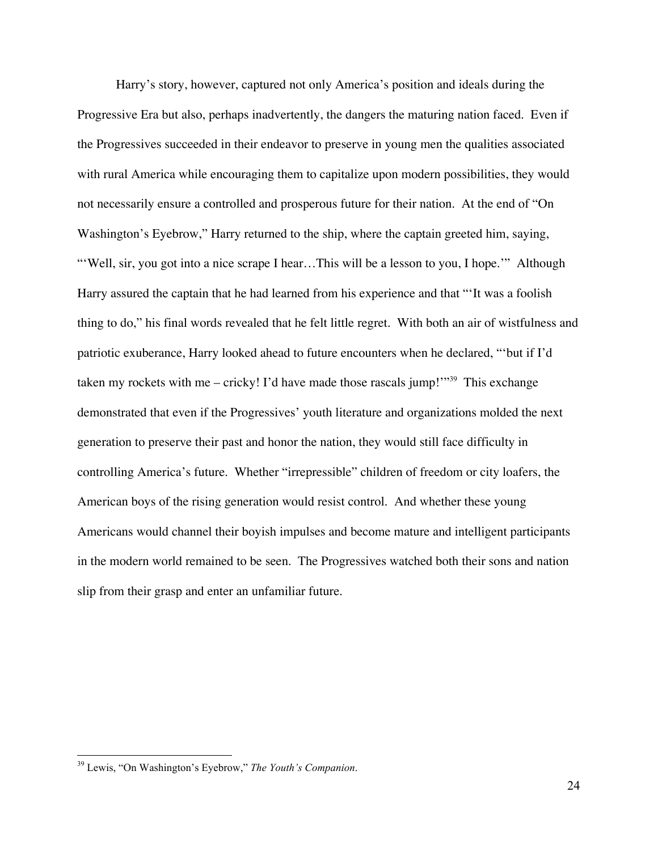Harry's story, however, captured not only America's position and ideals during the Progressive Era but also, perhaps inadvertently, the dangers the maturing nation faced. Even if the Progressives succeeded in their endeavor to preserve in young men the qualities associated with rural America while encouraging them to capitalize upon modern possibilities, they would not necessarily ensure a controlled and prosperous future for their nation. At the end of "On Washington's Eyebrow," Harry returned to the ship, where the captain greeted him, saying, "'Well, sir, you got into a nice scrape I hear...This will be a lesson to you, I hope."" Although Harry assured the captain that he had learned from his experience and that "'It was a foolish thing to do," his final words revealed that he felt little regret. With both an air of wistfulness and patriotic exuberance, Harry looked ahead to future encounters when he declared, "'but if I'd taken my rockets with me – cricky! I'd have made those rascals jump!" $39$  This exchange demonstrated that even if the Progressives' youth literature and organizations molded the next generation to preserve their past and honor the nation, they would still face difficulty in controlling America's future. Whether "irrepressible" children of freedom or city loafers, the American boys of the rising generation would resist control. And whether these young Americans would channel their boyish impulses and become mature and intelligent participants in the modern world remained to be seen. The Progressives watched both their sons and nation slip from their grasp and enter an unfamiliar future.

 <sup>39</sup> Lewis, "On Washington's Eyebrow," *The Youth's Companion*.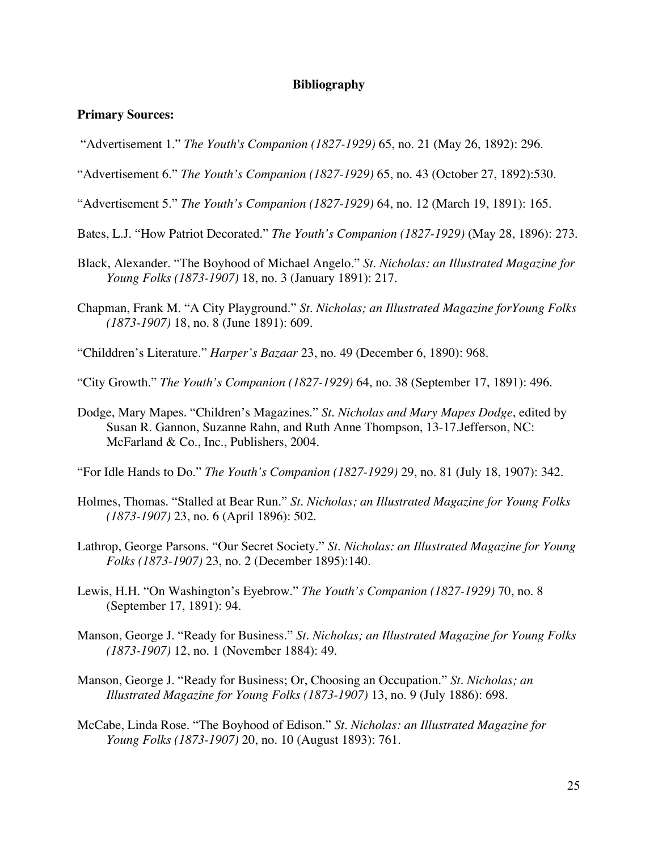### **Bibliography**

#### **Primary Sources:**

- "Advertisement 1." *The Youth's Companion (1827-1929)* 65, no. 21 (May 26, 1892): 296.
- "Advertisement 6." *The Youth's Companion (1827-1929)* 65, no. 43 (October 27, 1892):530.
- "Advertisement 5." *The Youth's Companion (1827-1929)* 64, no. 12 (March 19, 1891): 165.
- Bates, L.J. "How Patriot Decorated." *The Youth's Companion (1827-1929)* (May 28, 1896): 273.
- Black, Alexander. "The Boyhood of Michael Angelo." *St. Nicholas: an Illustrated Magazine for Young Folks (1873-1907)* 18, no. 3 (January 1891): 217.
- Chapman, Frank M. "A City Playground." *St. Nicholas; an Illustrated Magazine forYoung Folks (1873-1907)* 18, no. 8 (June 1891): 609.
- "Childdren's Literature." *Harper's Bazaar* 23, no. 49 (December 6, 1890): 968.
- "City Growth." *The Youth's Companion (1827-1929)* 64, no. 38 (September 17, 1891): 496.
- Dodge, Mary Mapes. "Children's Magazines." *St. Nicholas and Mary Mapes Dodge*, edited by Susan R. Gannon, Suzanne Rahn, and Ruth Anne Thompson, 13-17.Jefferson, NC: McFarland & Co., Inc., Publishers, 2004.
- "For Idle Hands to Do." *The Youth's Companion (1827-1929)* 29, no. 81 (July 18, 1907): 342.
- Holmes, Thomas. "Stalled at Bear Run." *St. Nicholas; an Illustrated Magazine for Young Folks (1873-1907)* 23, no. 6 (April 1896): 502.
- Lathrop, George Parsons. "Our Secret Society." *St. Nicholas: an Illustrated Magazine for Young Folks (1873-1907)* 23, no. 2 (December 1895):140.
- Lewis, H.H. "On Washington's Eyebrow." *The Youth's Companion (1827-1929)* 70, no. 8 (September 17, 1891): 94.
- Manson, George J. "Ready for Business." *St. Nicholas; an Illustrated Magazine for Young Folks (1873-1907)* 12, no. 1 (November 1884): 49.
- Manson, George J. "Ready for Business; Or, Choosing an Occupation." *St. Nicholas; an Illustrated Magazine for Young Folks (1873-1907)* 13, no. 9 (July 1886): 698.
- McCabe, Linda Rose. "The Boyhood of Edison." *St. Nicholas: an Illustrated Magazine for Young Folks (1873-1907)* 20, no. 10 (August 1893): 761.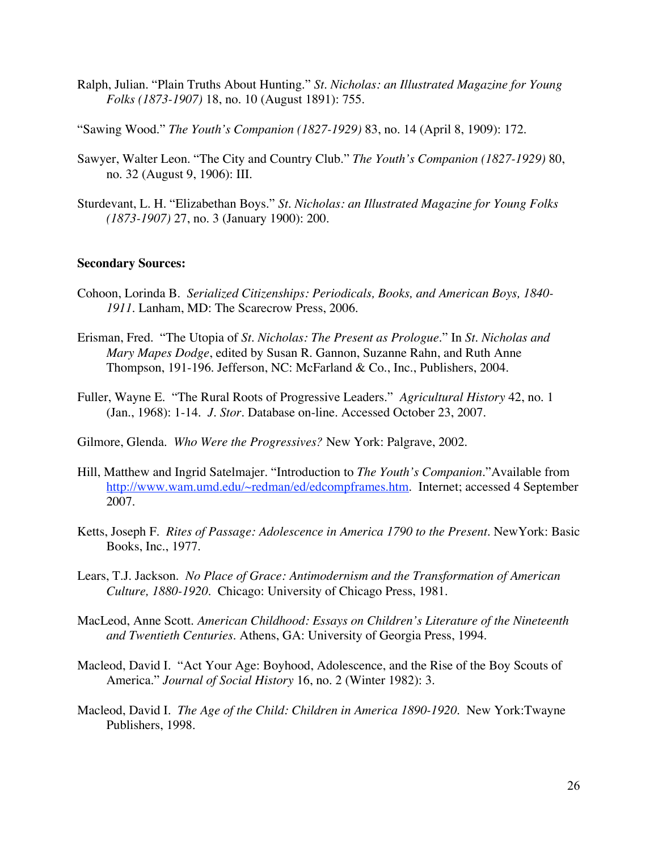- Ralph, Julian. "Plain Truths About Hunting." *St. Nicholas: an Illustrated Magazine for Young Folks (1873-1907)* 18, no. 10 (August 1891): 755.
- "Sawing Wood." *The Youth's Companion (1827-1929)* 83, no. 14 (April 8, 1909): 172.
- Sawyer, Walter Leon. "The City and Country Club." *The Youth's Companion (1827-1929)* 80, no. 32 (August 9, 1906): III.
- Sturdevant, L. H. "Elizabethan Boys." *St. Nicholas: an Illustrated Magazine for Young Folks (1873-1907)* 27, no. 3 (January 1900): 200.

#### **Secondary Sources:**

- Cohoon, Lorinda B. *Serialized Citizenships: Periodicals, Books, and American Boys, 1840- 1911.* Lanham, MD: The Scarecrow Press, 2006.
- Erisman, Fred. "The Utopia of *St. Nicholas: The Present as Prologue*." In *St. Nicholas and Mary Mapes Dodge*, edited by Susan R. Gannon, Suzanne Rahn, and Ruth Anne Thompson, 191-196. Jefferson, NC: McFarland & Co., Inc., Publishers, 2004.
- Fuller, Wayne E. "The Rural Roots of Progressive Leaders." *Agricultural History* 42, no. 1 (Jan., 1968): 1-14. *J. Stor.* Database on-line. Accessed October 23, 2007.
- Gilmore, Glenda. *Who Were the Progressives?* New York: Palgrave, 2002.
- Hill, Matthew and Ingrid Satelmajer. "Introduction to *The Youth's Companion.*"Available from http://www.wam.umd.edu/~redman/ed/edcompframes.htm. Internet; accessed 4 September 2007.
- Ketts, Joseph F. *Rites of Passage: Adolescence in America 1790 to the Present*. NewYork: Basic Books, Inc., 1977.
- Lears, T.J. Jackson. *No Place of Grace: Antimodernism and the Transformation of American Culture, 1880-1920*. Chicago: University of Chicago Press, 1981.
- MacLeod, Anne Scott. *American Childhood: Essays on Children's Literature of the Nineteenth and Twentieth Centuries*. Athens, GA: University of Georgia Press, 1994.
- Macleod, David I. "Act Your Age: Boyhood, Adolescence, and the Rise of the Boy Scouts of America." *Journal of Social History* 16, no. 2 (Winter 1982): 3.
- Macleod, David I. *The Age of the Child: Children in America 1890-1920*. New York:Twayne Publishers, 1998.